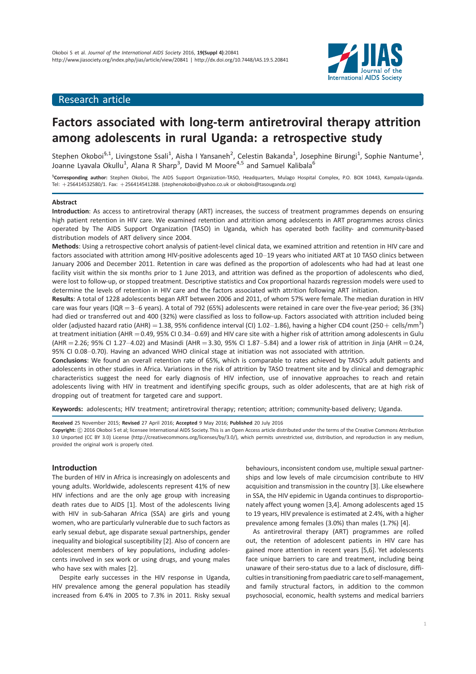

## Research article

# Factors associated with long-term antiretroviral therapy attrition among adolescents in rural Uganda: a retrospective study

Stephen Okoboi<sup>§,1</sup>, Livingstone Ssali<sup>1</sup>, Aisha I Yansaneh<sup>2</sup>, Celestin Bakanda<sup>1</sup>, Josephine Birungi<sup>1</sup>, Sophie Nantume<sup>1</sup>, Joanne Lyavala Okullu<sup>1</sup>, Alana R Sharp<sup>3</sup>, David M Moore<sup>4,5</sup> and Samuel Kalibala<sup>6</sup>

<sup>§</sup>Corresponding author: Stephen Okoboi, The AIDS Support Organization-TASO, Headquarters, Mulago Hospital Complex, P.O. BOX 10443, Kampala-Uganda. Tel: +256414532580/1. Fax: +256414541288. (stephenokoboi@yahoo.co.uk or okobois@tasouganda.org)

## Abstract

Introduction: As access to antiretroviral therapy (ART) increases, the success of treatment programmes depends on ensuring high patient retention in HIV care. We examined retention and attrition among adolescents in ART programmes across clinics operated by The AIDS Support Organization (TASO) in Uganda, which has operated both facility- and community-based distribution models of ART delivery since 2004.

Methods: Using a retrospective cohort analysis of patient-level clinical data, we examined attrition and retention in HIV care and factors associated with attrition among HIV-positive adolescents aged 10-19 years who initiated ART at 10 TASO clinics between January 2006 and December 2011. Retention in care was defined as the proportion of adolescents who had had at least one facility visit within the six months prior to 1 June 2013, and attrition was defined as the proportion of adolescents who died, were lost to follow-up, or stopped treatment. Descriptive statistics and Cox proportional hazards regression models were used to determine the levels of retention in HIV care and the factors associated with attrition following ART initiation.

Results: A total of 1228 adolescents began ART between 2006 and 2011, of whom 57% were female. The median duration in HIV care was four years (IQR =  $3-6$  years). A total of 792 (65%) adolescents were retained in care over the five-year period; 36 (3%) had died or transferred out and 400 (32%) were classified as loss to follow-up. Factors associated with attrition included being older (adjusted hazard ratio (AHR) = 1.38, 95% confidence interval (CI) 1.02–1.86), having a higher CD4 count (250+ cells/mm<sup>3</sup>) at treatment initiation (AHR = 0.49, 95% CI 0.34-0.69) and HIV care site with a higher risk of attrition among adolescents in Gulu  $(AHR = 2.26; 95% CI 1.27–4.02)$  and Masindi  $(AHR = 3.30, 95% CI 1.87–5.84)$  and a lower risk of attrition in Jinja (AHR = 0.24, 95% CI 0.08-0.70). Having an advanced WHO clinical stage at initiation was not associated with attrition.

Conclusions: We found an overall retention rate of 65%, which is comparable to rates achieved by TASO's adult patients and adolescents in other studies in Africa. Variations in the risk of attrition by TASO treatment site and by clinical and demographic characteristics suggest the need for early diagnosis of HIV infection, use of innovative approaches to reach and retain adolescents living with HIV in treatment and identifying specific groups, such as older adolescents, that are at high risk of dropping out of treatment for targeted care and support.

Keywords: adolescents; HIV treatment; antiretroviral therapy; retention; attrition; community-based delivery; Uganda.

Received 25 November 2015; Revised 27 April 2016; Accepted 9 May 2016; Published 20 July 2016

Copyright: © 2016 Okoboi S et al; licensee International AIDS Society. This is an Open Access article distributed under the terms of the Creative Commons Attribution 3.0 Unported (CC BY 3.0) License (http://creativecommons.org/licenses/by/3.0/), which permits unrestricted use, distribution, and reproduction in any medium, provided the original work is properly cited.

## Introduction

The burden of HIV in Africa is increasingly on adolescents and young adults. Worldwide, adolescents represent 41% of new HIV infections and are the only age group with increasing death rates due to AIDS [1]. Most of the adolescents living with HIV in sub-Saharan Africa (SSA) are girls and young women, who are particularly vulnerable due to such factors as early sexual debut, age disparate sexual partnerships, gender inequality and biological susceptibility [2]. Also of concern are adolescent members of key populations, including adolescents involved in sex work or using drugs, and young males who have sex with males [2].

Despite early successes in the HIV response in Uganda, HIV prevalence among the general population has steadily increased from 6.4% in 2005 to 7.3% in 2011. Risky sexual behaviours, inconsistent condom use, multiple sexual partnerships and low levels of male circumcision contribute to HIV acquisition and transmission in the country [3]. Like elsewhere in SSA, the HIV epidemic in Uganda continues to disproportionately affect young women [3,4]. Among adolescents aged 15 to 19 years, HIV prevalence is estimated at 2.4%, with a higher prevalence among females (3.0%) than males (1.7%) [4].

As antiretroviral therapy (ART) programmes are rolled out, the retention of adolescent patients in HIV care has gained more attention in recent years [5,6]. Yet adolescents face unique barriers to care and treatment, including being unaware of their sero-status due to a lack of disclosure, difficulties in transitioning from paediatric care to self-management, and family structural factors, in addition to the common psychosocial, economic, health systems and medical barriers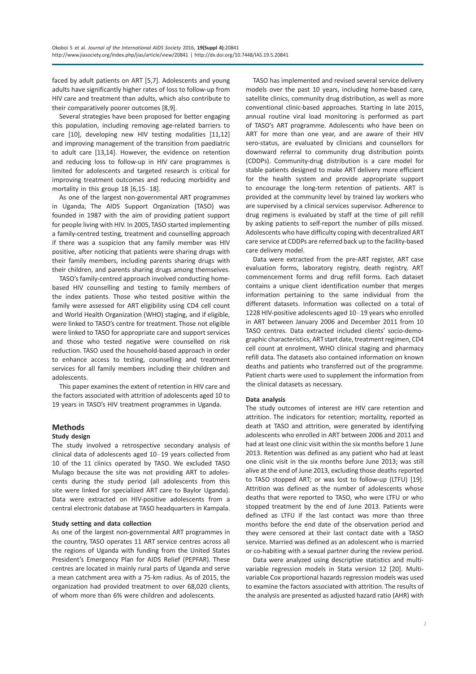faced by adult patients on ART [5,7]. Adolescents and young adults have significantly higher rates of loss to follow-up from HIV care and treatment than adults, which also contribute to their comparatively poorer outcomes [8,9].

Several strategies have been proposed for better engaging this population, including removing age-related barriers to care [10], developing new HIV testing modalities [11,12] and improving management of the transition from paediatric to adult care [13,14]. However, the evidence on retention and reducing loss to follow-up in HIV care programmes is limited for adolescents and targeted research is critical for improving treatment outcomes and reducing morbidity and mortality in this group  $18$  [6,15-18].

As one of the largest non-governmental ART programmes in Uganda, The AIDS Support Organization (TASO) was founded in 1987 with the aim of providing patient support for people living with HIV. In 2005, TASO started implementing a family-centred testing, treatment and counselling approach if there was a suspicion that any family member was HIV positive, after noticing that patients were sharing drugs with their family members, including parents sharing drugs with their children, and parents sharing drugs among themselves.

TASO's family-centred approach involved conducting homebased HIV counselling and testing to family members of the index patients. Those who tested positive within the family were assessed for ART eligibility using CD4 cell count and World Health Organization (WHO) staging, and if eligible, were linked to TASO's centre for treatment. Those not eligible were linked to TASO for appropriate care and support services and those who tested negative were counselled on risk reduction. TASO used the household-based approach in order to enhance access to testing, counselling and treatment services for all family members including their children and adolescents.

This paper examines the extent of retention in HIV care and the factors associated with attrition of adolescents aged 10 to 19 years in TASO's HIV treatment programmes in Uganda.

## Methods

#### Study design

The study involved a retrospective secondary analysis of clinical data of adolescents aged  $10-19$  years collected from 10 of the 11 clinics operated by TASO. We excluded TASO Mulago because the site was not providing ART to adolescents during the study period (all adolescents from this site were linked for specialized ART care to Baylor Uganda). Data were extracted on HIV-positive adolescents from a central electronic database at TASO headquarters in Kampala.

#### Study setting and data collection

As one of the largest non-governmental ART programmes in the country, TASO operates 11 ART service centres across all the regions of Uganda with funding from the United States President's Emergency Plan for AIDS Relief (PEPFAR). These centres are located in mainly rural parts of Uganda and serve a mean catchment area with a 75-km radius. As of 2015, the organization had provided treatment to over 68,020 clients, of whom more than 6% were children and adolescents.

TASO has implemented and revised several service delivery models over the past 10 years, including home-based care, satellite clinics, community drug distribution, as well as more conventional clinic-based approaches. Starting in late 2015, annual routine viral load monitoring is performed as part of TASO's ART programme. Adolescents who have been on ART for more than one year, and are aware of their HIV sero-status, are evaluated by clinicians and counsellors for downward referral to community drug distribution points (CDDPs). Community-drug distribution is a care model for stable patients designed to make ART delivery more efficient for the health system and provide appropriate support to encourage the long-term retention of patients. ART is provided at the community level by trained lay workers who are supervised by a clinical services supervisor. Adherence to drug regimens is evaluated by staff at the time of pill refill by asking patients to self-report the number of pills missed. Adolescents who have difficulty coping with decentralized ART care service at CDDPs are referred back up to the facility-based care delivery model.

Data were extracted from the pre-ART register, ART case evaluation forms, laboratory registry, death registry, ART commencement forms and drug refill forms. Each dataset contains a unique client identification number that merges information pertaining to the same individual from the different datasets. Information was collected on a total of 1228 HIV-positive adolescents aged  $10-19$  years who enrolled in ART between January 2006 and December 2011 from 10 TASO centres. Data extracted included clients' socio-demographic characteristics, ART start date, treatment regimen, CD4 cell count at enrolment, WHO clinical staging and pharmacy refill data. The datasets also contained information on known deaths and patients who transferred out of the programme. Patient charts were used to supplement the information from the clinical datasets as necessary.

## Data analysis

The study outcomes of interest are HIV care retention and attrition. The indicators for retention; mortality, reported as death at TASO and attrition, were generated by identifying adolescents who enrolled in ART between 2006 and 2011 and had at least one clinic visit within the six months before 1 June 2013. Retention was defined as any patient who had at least one clinic visit in the six months before June 2013; was still alive at the end of June 2013, excluding those deaths reported to TASO stopped ART; or was lost to follow-up (LTFU) [19]. Attrition was defined as the number of adolescents whose deaths that were reported to TASO, who were LTFU or who stopped treatment by the end of June 2013. Patients were defined as LTFU if the last contact was more than three months before the end date of the observation period and they were censored at their last contact date with a TASO service. Married was defined as an adolescent who is married or co-habiting with a sexual partner during the review period.

Data were analyzed using descriptive statistics and multivariable regression models in Stata version 12 [20]. Multivariable Cox proportional hazards regression models was used to examine the factors associated with attrition. The results of the analysis are presented as adjusted hazard ratio (AHR) with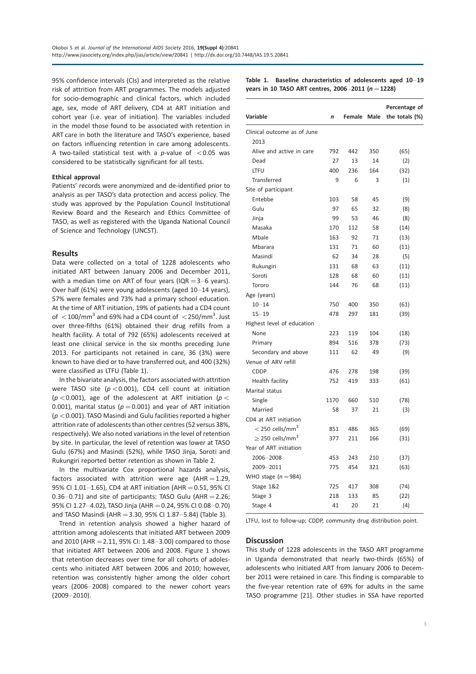95% confidence intervals (CIs) and interpreted as the relative risk of attrition from ART programmes. The models adjusted for socio-demographic and clinical factors, which included age, sex, mode of ART delivery, CD4 at ART initiation and cohort year (i.e. year of initiation). The variables included in the model those found to be associated with retention in ART care in both the literature and TASO's experience, based on factors influencing retention in care among adolescents. A two-tailed statistical test with a p-value of  $< 0.05$  was considered to be statistically significant for all tests.

### Ethical approval

Patients' records were anonymized and de-identified prior to analysis as per TASO's data protection and access policy. The study was approved by the Population Council Institutional Review Board and the Research and Ethics Committee of TASO, as well as registered with the Uganda National Council of Science and Technology (UNCST).

## Results

Data were collected on a total of 1228 adolescents who initiated ART between January 2006 and December 2011, with a median time on ART of four years (IQR =  $3-6$  years). Over half (61%) were young adolescents (aged  $10-14$  years), 57% were females and 73% had a primary school education. At the time of ART initiation, 19% of patients had a CD4 count of  $\alpha$  100/mm<sup>3</sup> and 69% had a CD4 count of  $\alpha$   $<$  250/mm<sup>3</sup>. Just over three-fifths (61%) obtained their drug refills from a health facility. A total of 792 (65%) adolescents received at least one clinical service in the six months preceding June 2013. For participants not retained in care, 36 (3%) were known to have died or to have transferred out, and 400 (32%) were classified as LTFU (Table 1).

In the bivariate analysis, the factors associated with attrition were TASO site ( $p < 0.001$ ), CD4 cell count at initiation ( $p < 0.001$ ), age of the adolescent at ART initiation ( $p <$ 0.001), marital status ( $p=0.001$ ) and year of ART initiation  $(p < 0.001)$ . TASO Masindi and Gulu facilities reported a higher attrition rate of adolescents than other centres (52 versus 38%, respectively).We also noted variations in the level of retention by site. In particular, the level of retention was lower at TASO Gulu (67%) and Masindi (52%), while TASO Jinja, Soroti and Rukungiri reported better retention as shown in Table 2.

In the multivariate Cox proportional hazards analysis, factors associated with attrition were age  $(AHR = 1.29,$ 95% CI 1.01-1.65), CD4 at ART initiation (AHR  $=$  0.51, 95% CI  $0.36-0.71$ ) and site of participants: TASO Gulu (AHR = 2.26; 95% CI 1.27-4.02), TASO Jinja (AHR = 0.24, 95% CI 0.08-0.70) and TASO Masindi (AHR $=$  3.30, 95% CI 1.87-5.84) (Table 3).

Trend in retention analysis showed a higher hazard of attrition among adolescents that initiated ART between 2009 and 2010 (AHR = 2.11, 95% CI: 1.48-3.00) compared to those that initiated ART between 2006 and 2008. Figure 1 shows that retention decreases over time for all cohorts of adolescents who initiated ART between 2006 and 2010; however, retention was consistently higher among the older cohort years (2006 $-$ 2008) compared to the newer cohort years  $(2009 - 2010)$ .

Table 1. Baseline characteristics of adolescents aged  $10-19$ years in 10 TASO ART centres, 2006-2011 ( $n=1228$ )

| Variable                         | n    | Female | <b>Male</b> | Percentage of<br>the totals (%) |
|----------------------------------|------|--------|-------------|---------------------------------|
| Clinical outcome as of June      |      |        |             |                                 |
| 2013                             |      |        |             |                                 |
| Alive and active in care         | 792  | 442    | 350         | (65)                            |
| Dead                             | 27   | 13     | 14          | (2)                             |
| <b>LTFU</b>                      | 400  | 236    | 164         | (32)                            |
| Transferred                      | 9    | 6      | 3           | (1)                             |
| Site of participant              |      |        |             |                                 |
| Entebbe                          | 103  | 58     | 45          | (9)                             |
| Gulu                             | 97   | 65     | 32          | (8)                             |
| Jinja                            | 99   | 53     | 46          | (8)                             |
| Masaka                           | 170  | 112    | 58          | (14)                            |
| Mbale                            | 163  | 92     | 71          | (13)                            |
| Mbarara                          | 131  | 71     | 60          | (11)                            |
| Masindi                          | 62   | 34     | 28          | (5)                             |
| Rukungiri                        | 131  | 68     | 63          | (11)                            |
| Soroti                           | 128  | 68     | 60          | (11)                            |
| Tororo                           | 144  | 76     | 68          | (11)                            |
| Age (years)                      |      |        |             |                                 |
| $10 - 14$                        | 750  | 400    | 350         | (61)                            |
| $15 - 19$                        | 478  | 297    | 181         | (39)                            |
| Highest level of education       |      |        |             |                                 |
| None                             | 223  | 119    | 104         | (18)                            |
| Primary                          | 894  | 516    | 378         | (73)                            |
| Secondary and above              | 111  | 62     | 49          | (9)                             |
| Venue of ARV refill              |      |        |             |                                 |
| CDDP                             | 476  | 278    | 198         | (39)                            |
| Health facility                  | 752  | 419    | 333         | (61)                            |
| Marital status                   |      |        |             |                                 |
| Single                           | 1170 | 660    | 510         | (78)                            |
| Married                          | 58   | 37     | 21          | (3)                             |
| CD4 at ART initiation            |      |        |             |                                 |
| $<$ 250 cells/mm <sup>3</sup>    | 851  | 486    | 365         | (69)                            |
| $\geq$ 250 cells/mm <sup>3</sup> | 377  | 211    | 166         | (31)                            |
| Year of ART initiation           |      |        |             |                                 |
| 2006-2008                        | 453  | 243    | 210         | (37)                            |
| 2009-2011                        | 775  | 454    | 321         | (63)                            |
| WHO stage $(n = 984)$            |      |        |             |                                 |
| Stage 1&2                        | 725  | 417    | 308         | (74)                            |
| Stage 3                          | 218  | 133    | 85          | (22)                            |
| Stage 4                          | 41   | 20     | 21          | (4)                             |

LTFU, lost to follow-up; CDDP, community drug distribution point.

## **Discussion**

This study of 1228 adolescents in the TASO ART programme in Uganda demonstrated that nearly two-thirds (65%) of adolescents who initiated ART from January 2006 to December 2011 were retained in care. This finding is comparable to the five-year retention rate of 69% for adults in the same TASO programme [21]. Other studies in SSA have reported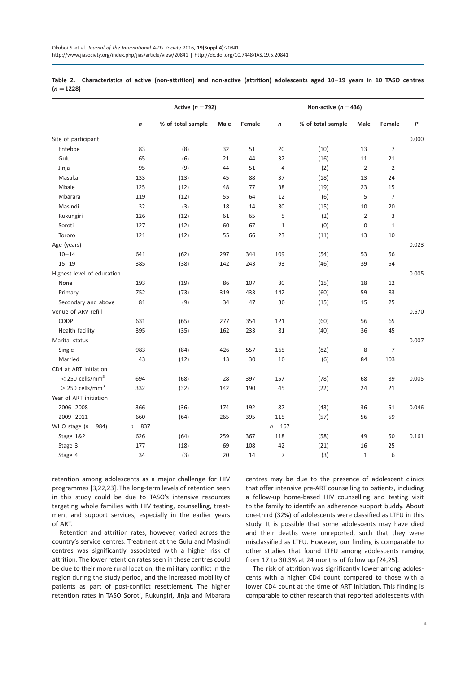|                                  |                  | Active $(n = 792)$ | Non-active $(n=436)$ |        |                |                   |                |                |       |
|----------------------------------|------------------|--------------------|----------------------|--------|----------------|-------------------|----------------|----------------|-------|
|                                  | $\boldsymbol{n}$ | % of total sample  | Male                 | Female | $\pmb{n}$      | % of total sample | Male           | Female         | P     |
| Site of participant              |                  |                    |                      |        |                |                   |                |                | 0.000 |
| Entebbe                          | 83               | (8)                | 32                   | 51     | 20             | (10)              | 13             | 7              |       |
| Gulu                             | 65               | (6)                | 21                   | 44     | 32             | (16)              | 11             | 21             |       |
| Jinja                            | 95               | (9)                | 44                   | 51     | 4              | (2)               | $\overline{2}$ | $\overline{2}$ |       |
| Masaka                           | 133              | (13)               | 45                   | 88     | 37             | (18)              | 13             | 24             |       |
| Mbale                            | 125              | (12)               | 48                   | 77     | 38             | (19)              | 23             | 15             |       |
| Mbarara                          | 119              | (12)               | 55                   | 64     | 12             | (6)               | 5              | $\overline{7}$ |       |
| Masindi                          | 32               | (3)                | 18                   | 14     | 30             | (15)              | 10             | 20             |       |
| Rukungiri                        | 126              | (12)               | 61                   | 65     | 5              | (2)               | $\overline{2}$ | 3              |       |
| Soroti                           | 127              | (12)               | 60                   | 67     | $1\,$          | (0)               | 0              | $1\,$          |       |
| Tororo                           | 121              | (12)               | 55                   | 66     | 23             | (11)              | 13             | 10             |       |
| Age (years)                      |                  |                    |                      |        |                |                   |                |                | 0.023 |
| $10 - 14$                        | 641              | (62)               | 297                  | 344    | 109            | (54)              | 53             | 56             |       |
| $15 - 19$                        | 385              | (38)               | 142                  | 243    | 93             | (46)              | 39             | 54             |       |
| Highest level of education       |                  |                    |                      |        |                |                   |                |                | 0.005 |
| None                             | 193              | (19)               | 86                   | 107    | 30             | (15)              | 18             | 12             |       |
| Primary                          | 752              | (73)               | 319                  | 433    | 142            | (60)              | 59             | 83             |       |
| Secondary and above              | 81               | (9)                | 34                   | 47     | 30             | (15)              | 15             | 25             |       |
| Venue of ARV refill              |                  |                    |                      |        |                |                   |                |                | 0.670 |
| CDDP                             | 631              | (65)               | 277                  | 354    | 121            | (60)              | 56             | 65             |       |
| Health facility                  | 395              | (35)               | 162                  | 233    | 81             | (40)              | 36             | 45             |       |
| Marital status                   |                  |                    |                      |        |                |                   |                |                | 0.007 |
| Single                           | 983              | (84)               | 426                  | 557    | 165            | (82)              | 8              | $\overline{7}$ |       |
| Married                          | 43               | (12)               | 13                   | 30     | 10             | (6)               | 84             | 103            |       |
| CD4 at ART initiation            |                  |                    |                      |        |                |                   |                |                |       |
| $<$ 250 cells/mm <sup>3</sup>    | 694              | (68)               | 28                   | 397    | 157            | (78)              | 68             | 89             | 0.005 |
| $\geq$ 250 cells/mm <sup>3</sup> | 332              | (32)               | 142                  | 190    | 45             | (22)              | 24             | 21             |       |
| Year of ART initiation           |                  |                    |                      |        |                |                   |                |                |       |
| 2006-2008                        | 366              | (36)               | 174                  | 192    | 87             | (43)              | 36             | 51             | 0.046 |
| 2009-2011                        | 660              | (64)               | 265                  | 395    | 115            | (57)              | 56             | 59             |       |
| WHO stage $(n = 984)$            | $n = 837$        |                    |                      |        | $n = 167$      |                   |                |                |       |
| Stage 1&2                        | 626              | (64)               | 259                  | 367    | 118            | (58)              | 49             | 50             | 0.161 |
| Stage 3                          | 177              | (18)               | 69                   | 108    | 42             | (21)              | 16             | 25             |       |
| Stage 4                          | 34               | (3)                | 20                   | 14     | $\overline{7}$ | (3)               | $\mathbf{1}$   | 6              |       |

|              | Table 2. Characteristics of active (non-attrition) and non-active (attrition) adolescents aged 10–19 years in 10 TASO centres |  |  |  |  |  |  |  |
|--------------|-------------------------------------------------------------------------------------------------------------------------------|--|--|--|--|--|--|--|
| (n $=$ 1228) |                                                                                                                               |  |  |  |  |  |  |  |

retention among adolescents as a major challenge for HIV programmes [3,22,23]. The long-term levels of retention seen in this study could be due to TASO's intensive resources targeting whole families with HIV testing, counselling, treatment and support services, especially in the earlier years of ART.

Retention and attrition rates, however, varied across the country's service centres. Treatment at the Gulu and Masindi centres was significantly associated with a higher risk of attrition.The lower retention rates seen in these centres could be due to their more rural location, the military conflict in the region during the study period, and the increased mobility of patients as part of post-conflict resettlement. The higher retention rates in TASO Soroti, Rukungiri, Jinja and Mbarara centres may be due to the presence of adolescent clinics that offer intensive pre-ART counselling to patients, including a follow-up home-based HIV counselling and testing visit to the family to identify an adherence support buddy. About one-third (32%) of adolescents were classified as LTFU in this study. It is possible that some adolescents may have died and their deaths were unreported, such that they were misclassified as LTFU. However, our finding is comparable to other studies that found LTFU among adolescents ranging from 17 to 30.3% at 24 months of follow up [24,25].

The risk of attrition was significantly lower among adolescents with a higher CD4 count compared to those with a lower CD4 count at the time of ART initiation. This finding is comparable to other research that reported adolescents with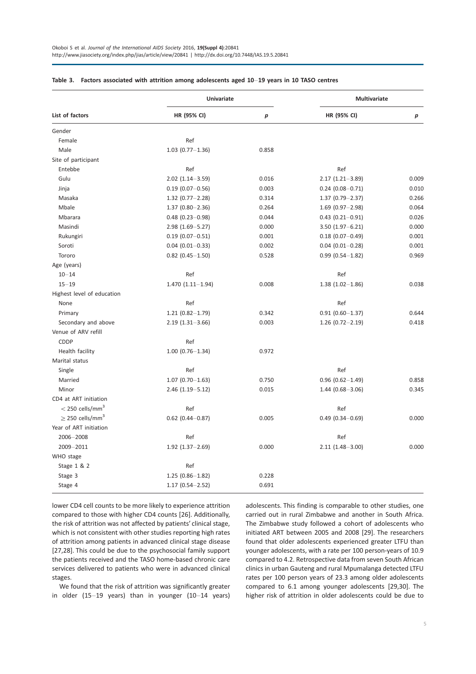|                                  | <b>Univariate</b>      |       | <b>Multivariate</b>  |       |  |  |
|----------------------------------|------------------------|-------|----------------------|-------|--|--|
| List of factors                  | HR (95% CI)            | р     | HR (95% CI)          | р     |  |  |
| Gender                           |                        |       |                      |       |  |  |
| Female                           | Ref                    |       |                      |       |  |  |
| Male                             | $1.03$ $(0.77 - 1.36)$ | 0.858 |                      |       |  |  |
| Site of participant              |                        |       |                      |       |  |  |
| Entebbe                          | Ref                    |       | Ref                  |       |  |  |
| Gulu                             | $2.02$ $(1.14 - 3.59)$ | 0.016 | $2.17(1.21 - 3.89)$  | 0.009 |  |  |
| Jinja                            | $0.19$ (0.07-0.56)     | 0.003 | $0.24$ (0.08-0.71)   | 0.010 |  |  |
| Masaka                           | $1.32$ (0.77-2.28)     | 0.314 | $1.37(0.79 - 2.37)$  | 0.266 |  |  |
| Mbale                            | $1.37(0.80 - 2.36)$    | 0.264 | $1.69$ (0.97 - 2.98) | 0.064 |  |  |
| Mbarara                          | $0.48$ (0.23-0.98)     | 0.044 | $0.43$ (0.21-0.91)   | 0.026 |  |  |
| Masindi                          | $2.98(1.69 - 5.27)$    | 0.000 | $3.50(1.97 - 6.21)$  | 0.000 |  |  |
| Rukungiri                        | $0.19$ (0.07-0.51)     | 0.001 | $0.18$ (0.07-0.49)   | 0.001 |  |  |
| Soroti                           | $0.04$ (0.01-0.33)     | 0.002 | $0.04$ (0.01-0.28)   | 0.001 |  |  |
| Tororo                           | $0.82$ (0.45 - 1.50)   | 0.528 | $0.99$ (0.54-1.82)   | 0.969 |  |  |
| Age (years)                      |                        |       |                      |       |  |  |
| $10 - 14$                        | Ref                    |       | Ref                  |       |  |  |
| $15 - 19$                        | $1.470(1.11 - 1.94)$   | 0.008 | $1.38(1.02 - 1.86)$  | 0.038 |  |  |
| Highest level of education       |                        |       |                      |       |  |  |
| None                             | Ref                    |       | Ref                  |       |  |  |
| Primary                          | $1.21(0.82 - 1.79)$    | 0.342 | $0.91(0.60 - 1.37)$  | 0.644 |  |  |
| Secondary and above              | $2.19(1.31 - 3.66)$    | 0.003 | $1.26$ (0.72-2.19)   | 0.418 |  |  |
| Venue of ARV refill              |                        |       |                      |       |  |  |
| CDDP                             | Ref                    |       |                      |       |  |  |
| Health facility                  | $1.00$ (0.76-1.34)     | 0.972 |                      |       |  |  |
| Marital status                   |                        |       |                      |       |  |  |
| Single                           | Ref                    |       | Ref                  |       |  |  |
| Married                          | $1.07(0.70 - 1.63)$    | 0.750 | $0.96$ (0.62-1.49)   | 0.858 |  |  |
| Minor                            | $2.46(1.19 - 5.12)$    | 0.015 | $1.44(0.68 - 3.06)$  | 0.345 |  |  |
| CD4 at ART initiation            |                        |       |                      |       |  |  |
| $<$ 250 cells/mm <sup>3</sup>    | Ref                    |       | Ref                  |       |  |  |
| $\geq$ 250 cells/mm <sup>3</sup> | $0.62$ (0.44-0.87)     | 0.005 | $0.49$ (0.34-0.69)   | 0.000 |  |  |
| Year of ART initiation           |                        |       |                      |       |  |  |
| 2006-2008                        | Ref                    |       | Ref                  |       |  |  |
| 2009-2011                        | $1.92$ $(1.37 - 2.69)$ | 0.000 | $2.11(1.48 - 3.00)$  | 0.000 |  |  |
| WHO stage                        |                        |       |                      |       |  |  |
| Stage 1 & 2                      | Ref                    |       |                      |       |  |  |
| Stage 3                          | $1.25(0.86 - 1.82)$    | 0.228 |                      |       |  |  |
| Stage 4                          | $1.17(0.54 - 2.52)$    | 0.691 |                      |       |  |  |

## Table 3. Factors associated with attrition among adolescents aged 10-19 years in 10 TASO centres

lower CD4 cell counts to be more likely to experience attrition compared to those with higher CD4 counts [26]. Additionally, the risk of attrition was not affected by patients' clinical stage, which is not consistent with other studies reporting high rates of attrition among patients in advanced clinical stage disease [27,28]. This could be due to the psychosocial family support the patients received and the TASO home-based chronic care services delivered to patients who were in advanced clinical stages.

We found that the risk of attrition was significantly greater in older (15-19 years) than in younger (10-14 years) adolescents. This finding is comparable to other studies, one carried out in rural Zimbabwe and another in South Africa. The Zimbabwe study followed a cohort of adolescents who initiated ART between 2005 and 2008 [29]. The researchers found that older adolescents experienced greater LTFU than younger adolescents, with a rate per 100 person-years of 10.9 compared to 4.2. Retrospective data from seven South African clinics in urban Gauteng and rural Mpumalanga detected LTFU rates per 100 person years of 23.3 among older adolescents compared to 6.1 among younger adolescents [29,30]. The higher risk of attrition in older adolescents could be due to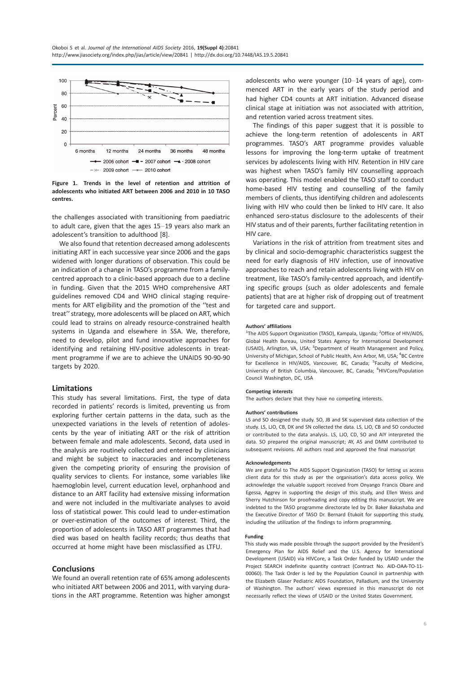

Figure 1. Trends in the level of retention and attrition of adolescents who initiated ART between 2006 and 2010 in 10 TASO centres.

the challenges associated with transitioning from paediatric to adult care, given that the ages  $15-19$  years also mark an adolescent's transition to adulthood [8].

We also found that retention decreased among adolescents initiating ART in each successive year since 2006 and the gaps widened with longer durations of observation. This could be an indication of a change in TASO's programme from a familycentred approach to a clinic-based approach due to a decline in funding. Given that the 2015 WHO comprehensive ART guidelines removed CD4 and WHO clinical staging requirements for ART eligibility and the promotion of the ''test and treat'' strategy, more adolescents will be placed on ART, which could lead to strains on already resource-constrained health systems in Uganda and elsewhere in SSA. We, therefore, need to develop, pilot and fund innovative approaches for identifying and retaining HIV-positive adolescents in treatment programme if we are to achieve the UNAIDS 90-90-90 targets by 2020.

## Limitations

This study has several limitations. First, the type of data recorded in patients' records is limited, preventing us from exploring further certain patterns in the data, such as the unexpected variations in the levels of retention of adolescents by the year of initiating ART or the risk of attrition between female and male adolescents. Second, data used in the analysis are routinely collected and entered by clinicians and might be subject to inaccuracies and incompleteness given the competing priority of ensuring the provision of quality services to clients. For instance, some variables like haemoglobin level, current education level, orphanhood and distance to an ART facility had extensive missing information and were not included in the multivariate analyses to avoid loss of statistical power. This could lead to under-estimation or over-estimation of the outcomes of interest. Third, the proportion of adolescents in TASO ART programmes that had died was based on health facility records; thus deaths that occurred at home might have been misclassified as LTFU.

#### **Conclusions**

We found an overall retention rate of 65% among adolescents who initiated ART between 2006 and 2011, with varying durations in the ART programme. Retention was higher amongst adolescents who were younger  $(10-14$  years of age), commenced ART in the early years of the study period and had higher CD4 counts at ART initiation. Advanced disease clinical stage at initiation was not associated with attrition, and retention varied across treatment sites.

The findings of this paper suggest that it is possible to achieve the long-term retention of adolescents in ART programmes. TASO's ART programme provides valuable lessons for improving the long-term uptake of treatment services by adolescents living with HIV. Retention in HIV care was highest when TASO's family HIV counselling approach was operating. This model enabled the TASO staff to conduct home-based HIV testing and counselling of the family members of clients, thus identifying children and adolescents living with HIV who could then be linked to HIV care. It also enhanced sero-status disclosure to the adolescents of their HIV status and of their parents, further facilitating retention in HIV care.

Variations in the risk of attrition from treatment sites and by clinical and socio-demographic characteristics suggest the need for early diagnosis of HIV infection, use of innovative approaches to reach and retain adolescents living with HIV on treatment, like TASO's family-centred approach, and identifying specific groups (such as older adolescents and female patients) that are at higher risk of dropping out of treatment for targeted care and support.

#### Authors' affiliations

<sup>1</sup>The AIDS Support Organization (TASO), Kampala, Uganda; <sup>2</sup>Office of HIV/AIDS, Global Health Bureau, United States Agency for International Development (USAID), Arlington, VA, USA; <sup>3</sup>Department of Health Management and Policy, University of Michigan, School of Public Health, Ann Arbor, MI, USA; <sup>4</sup>BC Centre for Excellence in HIV/AIDS, Vancouver, BC, Canada; <sup>5</sup>Faculty of Medicine, University of British Columbia, Vancouver, BC, Canada; <sup>6</sup>HIVCore/Population Council Washington, DC, USA

#### Competing interests

The authors declare that they have no competing interests.

#### Authors' contributions

LS and SO designed the study. SO, JB and SK supervised data collection of the study. LS, LJO, CB, DK and SN collected the data. LS, LJO, CB and SO conducted or contributed to the data analysis. LS, LJO, CD, SO and AIY interpreted the data. SO prepared the original manuscript; AY, AS and DMM contributed to subsequent revisions. All authors read and approved the final manuscript

#### **Acknowledgements**

We are grateful to The AIDS Support Organization (TASO) for letting us access client data for this study as per the organisation's data access policy. We acknowledge the valuable support received from Onyango Francis Obare and Egessa, Aggrey in supporting the design of this study, and Ellen Weiss and Sherry Hutchinson for proofreading and copy editing this manuscript. We are indebted to the TASO programme directorate led by Dr. Baker Bakashaba and the Executive Director of TASO Dr. Bernard Etukoit for supporting this study, including the utilization of the findings to inform programming.

#### Funding

This study was made possible through the support provided by the President's Emergency Plan for AIDS Relief and the U.S. Agency for International Development (USAID) via HIVCore, a Task Order funded by USAID under the Project SEARCH indefinite quantity contract (Contract No. AID-OAA-TO-11- 00060). The Task Order is led by the Population Council in partnership with the Elizabeth Glaser Pediatric AIDS Foundation, Palladium, and the University of Washington. The authors' views expressed in this manuscript do not necessarily reflect the views of USAID or the United States Government.